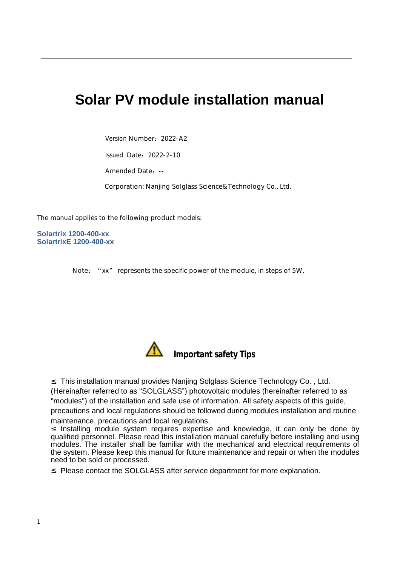# **Solar PV module installation manual**

Version Number: 2022-A2

Issued Date:2022-2-10

Amended Date:--

Corporation: Nanjing Solglass Science&Technology Co., Ltd.

The manual applies to the following product models:

**Solartrix 1200-400-xx SolartrixE 1200-400-xx**

Note: "xx" represents the specific power of the module, in steps of 5W.



**Important safety Tips**

² This installation manual provides Nanjing Solglass Science Technology Co. , Ltd.

(Hereinafter referred to as "SOLGLASS") photovoltaic modules (hereinafter referred to as "modules") of the installation and safe use of information. All safety aspects of this guide, precautions and local regulations should be followed during modules installation and routine maintenance, precautions and local regulations.

² Installing module system requires expertise and knowledge, it can only be done by qualified personnel. Please read this installation manual carefully before installing and using modules. The installer shall be familiar with the mechanical and electrical requirements of the system. Please keep this manual for future maintenance and repair or when the modules need to be sold or processed.

² Please contact the SOLGLASS after service department for more explanation.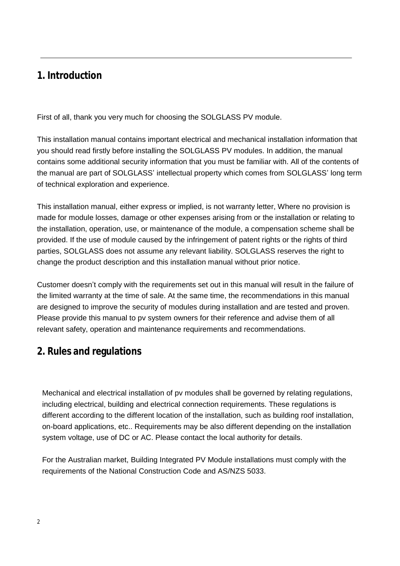# **1. Introduction**

First of all, thank you very much for choosing the SOLGLASS PV module.

This installation manual contains important electrical and mechanical installation information that you should read firstly before installing the SOLGLASS PV modules. In addition, the manual contains some additional security information that you must be familiar with. All of the contents of the manual are part of SOLGLASS' intellectual property which comes from SOLGLASS' long term of technical exploration and experience.

This installation manual, either express or implied, is not warranty letter, Where no provision is made for module losses, damage or other expenses arising from or the installation or relating to the installation, operation, use, or maintenance of the module, a compensation scheme shall be provided. If the use of module caused by the infringement of patent rights or the rights of third parties, SOLGLASS does not assume any relevant liability. SOLGLASS reserves the right to change the product description and this installation manual without prior notice.

Customer doesn't comply with the requirements set out in this manual will result in the failure of the limited warranty at the time of sale. At the same time, the recommendations in this manual are designed to improve the security of modules during installation and are tested and proven. Please provide this manual to pv system owners for their reference and advise them of all relevant safety, operation and maintenance requirements and recommendations.

# **2. Rules and regulations**

Mechanical and electrical installation of pv modules shall be governed by relating regulations, including electrical, building and electrical connection requirements. These regulations is different according to the different location of the installation, such as building roof installation, on-board applications, etc.. Requirements may be also different depending on the installation system voltage, use of DC or AC. Please contact the local authority for details.

For the Australian market, Building Integrated PV Module installations must comply with the requirements of the National Construction Code and AS/NZS 5033.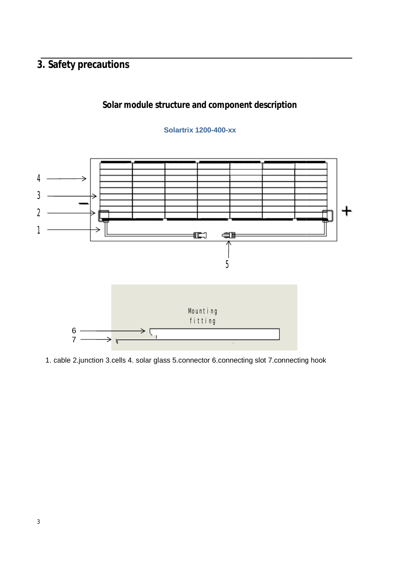# **3. Safety precautions**

### **Solar module structure and component description**

### **Solartrix 1200-400-xx**



1. cable 2.junction 3.cells 4. solar glass 5.connector 6.connecting slot 7.connecting hook 1. cable2.junction 3.cells 4. solar glass5.connector slot7.connecting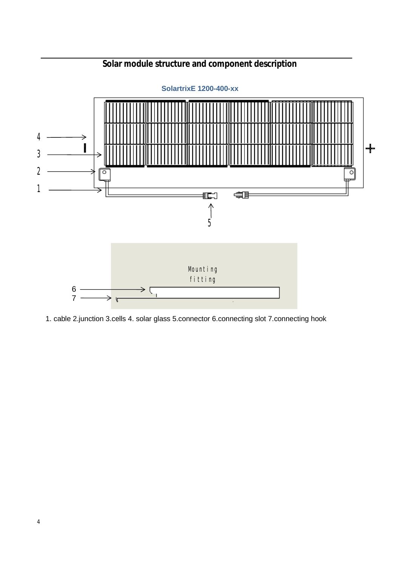

# **Solar module structure and component description**

1. cable 2.junction 3.cells 4. solar glass 5.connector 6.connecting slot 7.connecting hook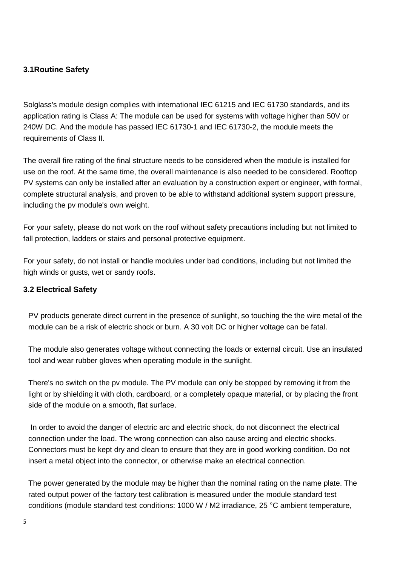### **3.1Routine Safety**

Solglass's module design complies with international IEC 61215 and IEC 61730 standards, and its application rating is Class A: The module can be used for systems with voltage higher than 50V or 240W DC. And the module has passed IEC 61730-1 and IEC 61730-2, the module meets the requirements of Class II.

The overall fire rating of the final structure needs to be considered when the module is installed for use on the roof. At the same time, the overall maintenance is also needed to be considered. Rooftop PV systems can only be installed after an evaluation by a construction expert or engineer, with formal, complete structural analysis, and proven to be able to withstand additional system support pressure, including the pv module's own weight.

For your safety, please do not work on the roof without safety precautions including but not limited to fall protection, ladders or stairs and personal protective equipment.

For your safety, do not install or handle modules under bad conditions, including but not limited the high winds or gusts, wet or sandy roofs.

### **3.2 Electrical Safety**

PV products generate direct current in the presence of sunlight, so touching the the wire metal of the module can be a risk of electric shock or burn. A 30 volt DC or higher voltage can be fatal.

The module also generates voltage without connecting the loads or external circuit. Use an insulated tool and wear rubber gloves when operating module in the sunlight.

There's no switch on the pv module. The PV module can only be stopped by removing it from the light or by shielding it with cloth, cardboard, or a completely opaque material, or by placing the front side of the module on a smooth, flat surface.

In order to avoid the danger of electric arc and electric shock, do not disconnect the electrical connection under the load. The wrong connection can also cause arcing and electric shocks. Connectors must be kept dry and clean to ensure that they are in good working condition. Do not insert a metal object into the connector, or otherwise make an electrical connection.

The power generated by the module may be higher than the nominal rating on the name plate. The rated output power of the factory test calibration is measured under the module standard test conditions (module standard test conditions: 1000 W / M2 irradiance, 25 °C ambient temperature,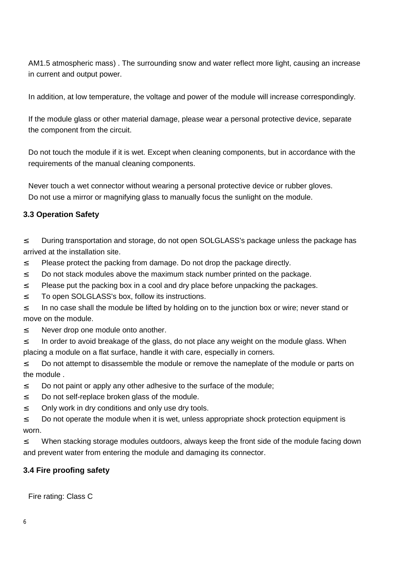AM1.5 atmospheric mass) . The surrounding snow and water reflect more light, causing an increase in current and output power.

In addition, at low temperature, the voltage and power of the module will increase correspondingly.

If the module glass or other material damage, please wear a personal protective device, separate the component from the circuit.

Do not touch the module if it is wet. Except when cleaning components, but in accordance with the requirements of the manual cleaning components.

Never touch a wet connector without wearing a personal protective device or rubber gloves. Do not use a mirror or magnifying glass to manually focus the sunlight on the module.

### **3.3 Operation Safety**

<sup>2</sup> During transportation and storage, do not open SOLGLASS's package unless the package has arrived at the installation site.

- <sup>2</sup> Please protect the packing from damage. Do not drop the package directly.
- <sup>2</sup> Do not stack modules above the maximum stack number printed on the package.
- <sup>2</sup> Please put the packing box in a cool and dry place before unpacking the packages.
- <sup>2</sup> To open SOLGLASS's box, follow its instructions.

<sup>2</sup> In no case shall the module be lifted by holding on to the junction box or wire; never stand or move on the module.

<sup>2</sup> Never drop one module onto another.

<sup>2</sup> In order to avoid breakage of the glass, do not place any weight on the module glass. When placing a module on a flat surface, handle it with care, especially in corners.

<sup>2</sup> Do not attempt to disassemble the module or remove the nameplate of the module or parts on the module .

- <sup>2</sup> Do not paint or apply any other adhesive to the surface of the module;
- <sup>2</sup> Do not self-replace broken glass of the module.
- <sup>2</sup> Only work in dry conditions and only use dry tools.

<sup>2</sup> Do not operate the module when it is wet, unless appropriate shock protection equipment is worn.

<sup>2</sup> When stacking storage modules outdoors, always keep the front side of the module facing down and prevent water from entering the module and damaging its connector.

### **3.4 Fire proofing safety**

Fire rating: Class C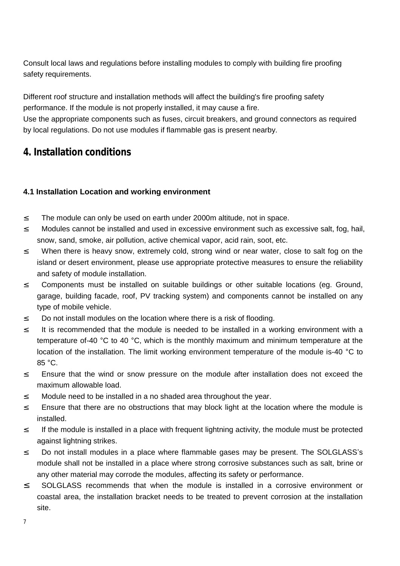Consult local laws and regulations before installing modules to comply with building fire proofing safety requirements.

Different roof structure and installation methods will affect the building's fire proofing safety performance. If the module is not properly installed, it may cause a fire.

Use the appropriate components such as fuses, circuit breakers, and ground connectors as required by local regulations. Do not use modules if flammable gas is present nearby.

# **4. Installation conditions**

### **4.1 Installation Location and working environment**

- <sup>2</sup> The module can only be used on earth under 2000m altitude, not in space.
- <sup>2</sup> Modules cannot be installed and used in excessive environment such as excessive salt, fog, hail, snow, sand, smoke, air pollution, active chemical vapor, acid rain, soot, etc.
- <sup>2</sup> When there is heavy snow, extremely cold, strong wind or near water, close to salt fog on the island or desert environment, please use appropriate protective measures to ensure the reliability and safety of module installation.
- <sup>2</sup> Components must be installed on suitable buildings or other suitable locations (eg. Ground, garage, building facade, roof, PV tracking system) and components cannot be installed on any type of mobile vehicle.
- <sup>2</sup> Do not install modules on the location where there is a risk of flooding.
- <sup>2</sup> It is recommended that the module is needed to be installed in a working environment with a temperature of-40 °C to 40 °C, which is the monthly maximum and minimum temperature at the location of the installation. The limit working environment temperature of the module is-40 °C to 85 °C.
- <sup>2</sup> Ensure that the wind or snow pressure on the module after installation does not exceed the maximum allowable load.
- <sup>2</sup> Module need to be installed in a no shaded area throughout the year.
- <sup>2</sup> Ensure that there are no obstructions that may block light at the location where the module is installed.
- <sup>2</sup> If the module is installed in a place with frequent lightning activity, the module must be protected against lightning strikes.
- <sup>2</sup> Do not install modules in a place where flammable gases may be present. The SOLGLASS's module shall not be installed in a place where strong corrosive substances such as salt, brine or any other material may corrode the modules, affecting its safety or performance.
- <sup>2</sup> SOLGLASS recommends that when the module is installed in a corrosive environment or coastal area, the installation bracket needs to be treated to prevent corrosion at the installation site.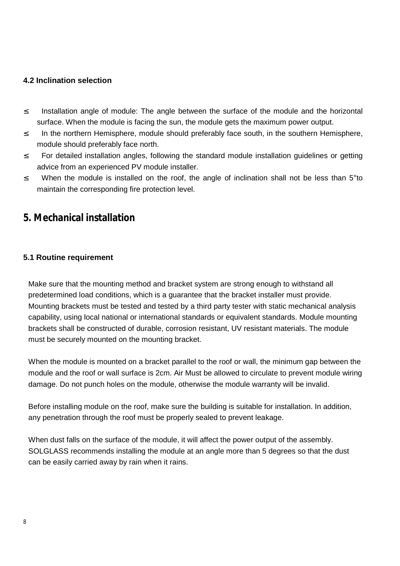### **4.2 Inclination selection**

- <sup>2</sup> Installation angle of module: The angle between the surface of the module and the horizontal surface. When the module is facing the sun, the module gets the maximum power output.
- <sup>2</sup> In the northern Hemisphere, module should preferably face south, in the southern Hemisphere, module should preferably face north.
- <sup>2</sup> For detailed installation angles, following the standard module installation guidelines or getting advice from an experienced PV module installer.
- <sup>2</sup> When the module is installed on the roof, the angle of inclination shall not be less than 5<sup>°</sup>to maintain the corresponding fire protection level.

# **5. Mechanical installation**

### **5.1 Routine requirement**

Make sure that the mounting method and bracket system are strong enough to withstand all predetermined load conditions, which is a guarantee that the bracket installer must provide. Mounting brackets must be tested and tested by a third party tester with static mechanical analysis capability, using local national or international standards or equivalent standards. Module mounting brackets shall be constructed of durable, corrosion resistant, UV resistant materials. The module must be securely mounted on the mounting bracket.

When the module is mounted on a bracket parallel to the roof or wall, the minimum gap between the module and the roof or wall surface is 2cm. Air Must be allowed to circulate to prevent module wiring damage. Do not punch holes on the module, otherwise the module warranty will be invalid.

Before installing module on the roof, make sure the building is suitable for installation. In addition, any penetration through the roof must be properly sealed to prevent leakage.

When dust falls on the surface of the module, it will affect the power output of the assembly. SOLGLASS recommends installing the module at an angle more than 5 degrees so that the dust can be easily carried away by rain when it rains.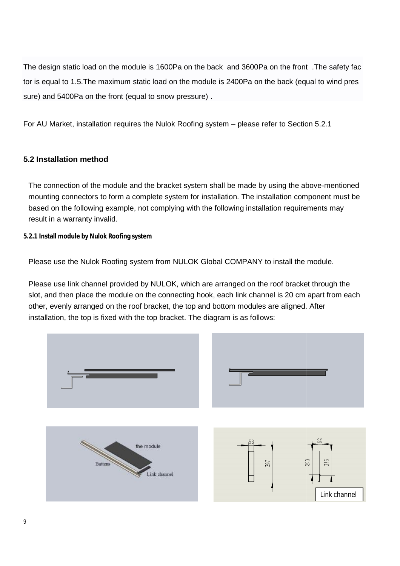The design static load on the module is 1600Pa on the back and 3600Pa on the front .The safety fac tor is equal to 1.5. The maximum static load on the module is 2400Pa on the back (equal to sure) and 5400Pa on the front (equal to snow pressure).

For AU Market, installation requires the Nulok Roofing system - please refer to Section 5.2.1

### **5.2 Installation method**

The connection of the module and the bracket system shall be made by using the above-mentioned mounting connectors to form a complete system for installation. The installation component must be based on the following example, not complying with the following installation requirements may result in a warranty invalid. atic load on the module is 1600Pa on the back and 3600Pa on the front . The safety fat 1.5.The maximum static load on the module is 2400Pa on the back (equal to wind pres<br>00Pa on the front (equal to snow pressure).<br>
<br>
<br> mounting connectors to form a complete system for installation. The installation component must<br>based on the following example, not complying with the following installation requirements may<br>result in a warranty invalid.<br>2

**5.2.1 Install module by Nulok Roofing system** 

Please use the Nulok Roofing system from NULOK Global COMPANY to install the module.

Please use the Nulok Roofing system from NULOK Global COMPANY to install the module.<br>Please use link channel provided by NULOK, which are arranged on the roof bracket through the slot, and then place the module on the connecting hook, each link channel is 20 cm apart from each<br>other, evenly arranged on the roof bracket, the top and bottom modules are aligned. After other, evenly arranged on the roof bracket, the top and bottom modules are aligned. After installation, the top is fixed with the top bracket. The diagram is as follows:

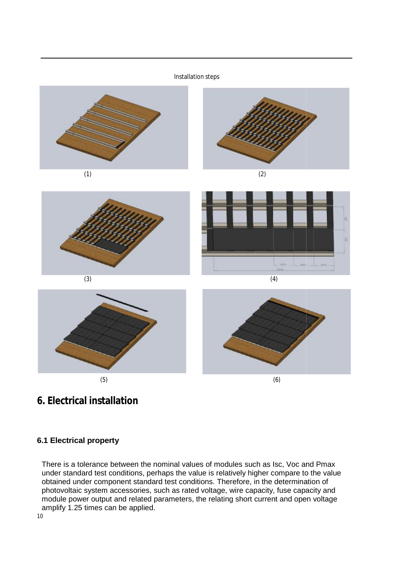# Installation steps (1) (2) in. (3) (4) (5)  $(5)$

# **6. Electrical installation**

### **6.1 Electrical property**

There is a tolerance between the nominal values of modules such as Isc, Voc and Pmax There is a tolerance between the nominal values of modules such as lsc, Voc and Pmax<br>under standard test conditions, perhaps the value is relatively higher compare to the value<br>obtained under component standard test condit obtained under component standard test conditions. Therefore, in the determination of photovoltaic system accessories, such as rated voltage, wire capacity, fuse capacity and module power output and related parameters, the relating short current and open voltage amplify 1.25 times can be applied.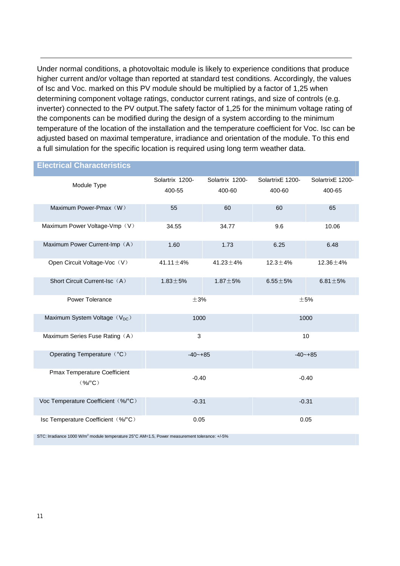Under normal conditions, a photovoltaic module is likely to experience conditions that produce higher current and/or voltage than reported at standard test conditions. Accordingly, the values of Isc and Voc. marked on this PV module should be multiplied by a factor of 1,25 when determining component voltage ratings, conductor current ratings, and size of controls (e.g. inverter) connected to the PV output.The safety factor of 1,25 for the minimum voltage rating of the components can be modified during the design of a system according to the minimum temperature of the location of the installation and the temperature coefficient for Voc. Isc can be adjusted based on maximal temperature, irradiance and orientation of the module. To this end a full simulation for the specific location is required using long term weather data.

## **Electrical Characteristics** Module Type Solartrix 1200- 400-55 Solartrix 1200- 400-60 SolartrixE 1200- 400-60 SolartrixE 1200- 400-65 Maximum Power-Pmax(W) 55 60 60 60 65 Maximum Power Voltage-Vmp (V) 34.55 34.77 9.6 10.06 Maximum Power Current-Imp (A) 1.60 1.73 6.25 6.48 Open Circuit Voltage-Voc(V) 41.11±4% 41.23±4% 12.3±4% 12.36±4% Short Circuit Current-Isc $(A)$  1.83 $\pm$ 5% 1.87 $\pm$ 5% 6.55 $\pm$ 5% 6.81 $\pm$ 5% Power Tolerance  $\pm 3\%$   $\pm 3\%$ Maximum System Voltage $(V_{DC})$  1000 1000 1000 1000 1000 1000 Maximum Series Fuse Rating (A) 3 10 Operating Temperature (°C) -40~+85 -40-+85 Pmax Temperature Coefficient (%/°C) -0.40 -0.40 Voc Temperature Coefficient (%/°C) -0.31 -0.31 -0.31 -0.31 -0.31 Isc Temperature Coefficient (%/°C) 0.05 0.05 0.05

STC: Irradiance 1000 W/m<sup>2</sup> module temperature 25°C AM=1.5, Power measurement tolerance: +/-5%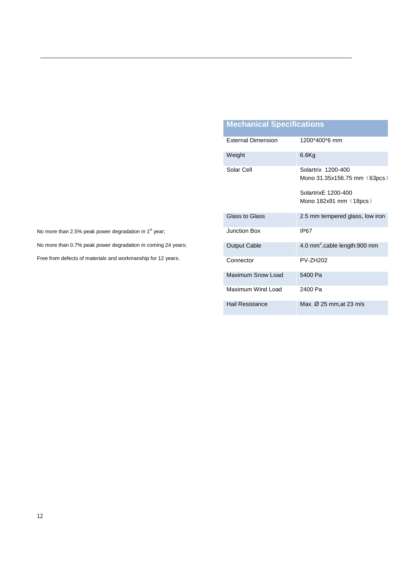# **Mechanical Specifications**

| <b>External Dimension</b> | 1200*400*6 mm                                      |  |
|---------------------------|----------------------------------------------------|--|
| Weight                    | $6.6$ Kg                                           |  |
| Solar Cell                | Solartrix 1200-400<br>Mono 31.35x156.75 mm (63pcs) |  |
|                           | Solartrix F 1200-400                               |  |
|                           | Mono $182x91$ mm $(18pcs)$                         |  |
| Glass to Glass            | 2.5 mm tempered glass, low iron                    |  |
| Junction Box              | IP67                                               |  |
| <b>Output Cable</b>       | 4.0 mm <sup>2</sup> , cable length: 900 mm         |  |
| Connector                 | PV-7H202                                           |  |
| Maximum Snow Load         | 5400 Pa                                            |  |
| Maximum Wind Load         | 2400 Pa                                            |  |
| Hail Resistance           | Max. $\varnothing$ 25 mm, at 23 m/s                |  |

No more than 2.5% peak power degradation in 1<sup>st</sup> year;

No more than 0.7% peak power degradation in coming 24 years;

Free from defects of materials and workmanship for 12 years.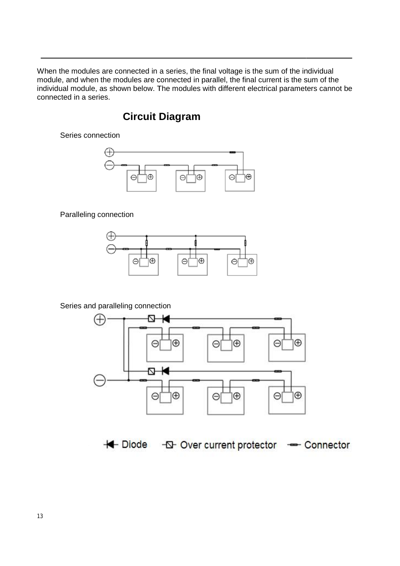When the modules are connected in a series, the final voltage is the sum of the individual When the modules are connected in a series, the final voltage is the sum of the individual<br>module, and when the modules are connected in parallel, the final current is the sum of the When the modules are connected in a series, the final voltage is the sum of the individual<br>module, and when the modules are connected in parallel, the final current is the sum of the<br>individual module, as shown below. The connected in a series.

# **Circuit Diagram**

Series connection



Paralleling connection



Series and paralleling connection



+ Diode - D-Over current protector - Connector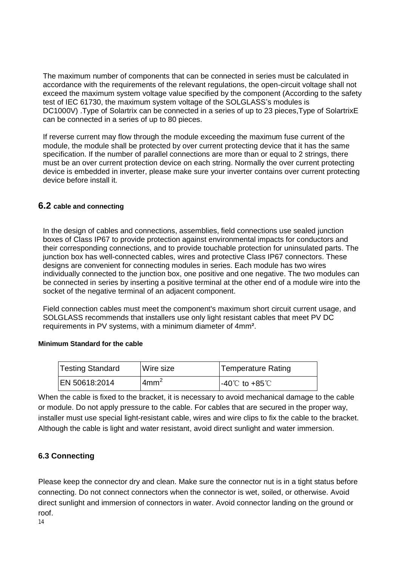The maximum number of components that can be connected in series must be calculated in accordance with the requirements of the relevant regulations, the open-circuit voltage shall not exceed the maximum system voltage value specified by the component (According to the safety test of IEC 61730, the maximum system voltage of the SOLGLASS's modules is DC1000V) .Type of Solartrix can be connected in a series of up to 23 pieces, Type of Solartrix E can be connected in a series of up to 80 pieces.

If reverse current may flow through the module exceeding the maximum fuse current of the module, the module shall be protected by over current protecting device that it has the same specification. If the number of parallel connections are more than or equal to 2 strings, there must be an over current protection device on each string. Normally the over current protecting device is embedded in inverter, please make sure your inverter contains over current protecting device before install it.

### **6.2 cable and connecting**

In the design of cables and connections, assemblies, field connections use sealed junction boxes of Class IP67 to provide protection against environmental impacts for conductors and their corresponding connections, and to provide touchable protection for uninsulated parts. The junction box has well-connected cables, wires and protective Class IP67 connectors. These designs are convenient for connecting modules in series. Each module has two wires individually connected to the junction box, one positive and one negative. The two modules can be connected in series by inserting a positive terminal at the other end of a module wire into the socket of the negative terminal of an adjacent component.

Field connection cables must meet the component's maximum short circuit current usage, and SOLGLASS recommends that installers use only light resistant cables that meet PV DC requirements in PV systems, with a minimum diameter of 4mm².

### **Minimum Standard for the cable**

| <b>Testing Standard</b> | Wire size      | <b>Temperature Rating</b>          |
|-------------------------|----------------|------------------------------------|
| EN 50618:2014           | $\text{4mm}^2$ | $-40^{\circ}$ C to $+85^{\circ}$ C |

When the cable is fixed to the bracket, it is necessary to avoid mechanical damage to the cable or module. Do not apply pressure to the cable. For cables that are secured in the proper way, installer must use special light-resistant cable, wires and wire clips to fix the cable to the bracket. Although the cable is light and water resistant, avoid direct sunlight and water immersion.

### **6.3 Connecting**

Please keep the connector dry and clean. Make sure the connector nut is in a tight status before connecting. Do not connect connectors when the connector is wet, soiled, or otherwise. Avoid direct sunlight and immersion of connectors in water. Avoid connector landing on the ground or roof.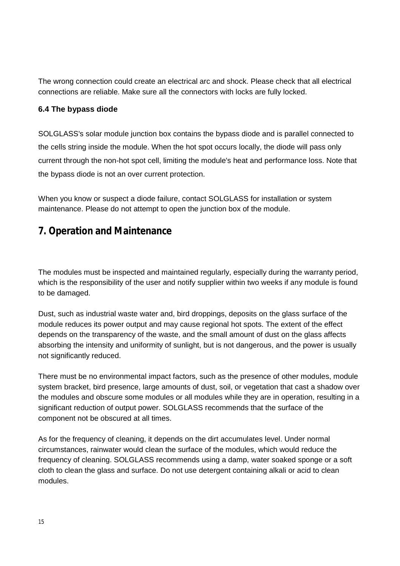The wrong connection could create an electrical arc and shock. Please check that all electrical connections are reliable. Make sure all the connectors with locks are fully locked.

### **6.4 The bypass diode**

SOLGLASS's solar module junction box contains the bypass diode and is parallel connected to the cells string inside the module. When the hot spot occurs locally, the diode will pass only current through the non-hot spot cell, limiting the module's heat and performance loss. Note that the bypass diode is not an over current protection.

When you know or suspect a diode failure, contact SOLGLASS for installation or system maintenance. Please do not attempt to open the junction box of the module.

# **7. Operation and Maintenance**

The modules must be inspected and maintained regularly, especially during the warranty period, which is the responsibility of the user and notify supplier within two weeks if any module is found to be damaged.

Dust, such as industrial waste water and, bird droppings, deposits on the glass surface of the module reduces its power output and may cause regional hot spots. The extent of the effect depends on the transparency of the waste, and the small amount of dust on the glass affects absorbing the intensity and uniformity of sunlight, but is not dangerous, and the power is usually not significantly reduced.

There must be no environmental impact factors, such as the presence of other modules, module system bracket, bird presence, large amounts of dust, soil, or vegetation that cast a shadow over the modules and obscure some modules or all modules while they are in operation, resulting in a significant reduction of output power. SOLGLASS recommends that the surface of the component not be obscured at all times.

As for the frequency of cleaning, it depends on the dirt accumulates level. Under normal circumstances, rainwater would clean the surface of the modules, which would reduce the frequency of cleaning. SOLGLASS recommends using a damp, water soaked sponge or a soft cloth to clean the glass and surface. Do not use detergent containing alkali or acid to clean modules.